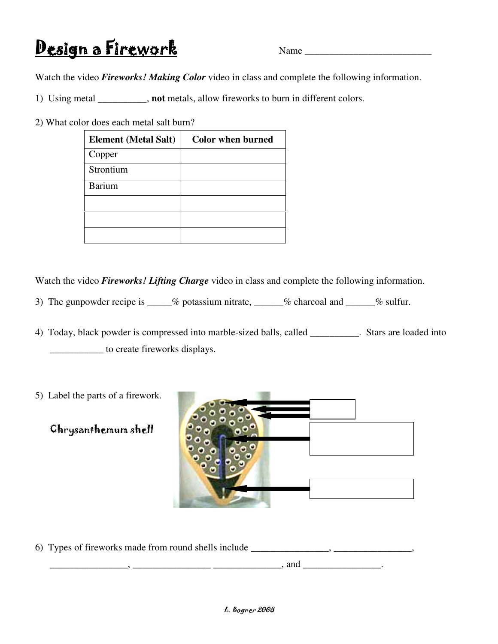## Design a Firework Name

Watch the video *Fireworks! Making Color* video in class and complete the following information.

1) Using metal \_\_\_\_\_\_\_\_\_\_, **not** metals, allow fireworks to burn in different colors.

2) What color does each metal salt burn?

| <b>Element</b> (Metal Salt) | <b>Color when burned</b> |
|-----------------------------|--------------------------|
| Copper                      |                          |
| Strontium                   |                          |
| <b>Barium</b>               |                          |
|                             |                          |
|                             |                          |
|                             |                          |

Watch the video *Fireworks! Lifting Charge* video in class and complete the following information.

- 3) The gunpowder recipe is \_\_\_\_\_% potassium nitrate, \_\_\_\_\_\_% charcoal and \_\_\_\_\_% sulfur.
- 4) Today, black powder is compressed into marble-sized balls, called \_\_\_\_\_\_\_\_\_\_. Stars are loaded into \_\_\_\_\_\_\_\_\_\_\_ to create fireworks displays.
- 5) Label the parts of a firework.
	- Chrysanthemum shell



6) Types of fireworks made from round shells include \_\_\_\_\_\_\_\_\_\_\_\_\_\_\_, \_\_\_\_\_\_\_\_\_\_\_\_\_\_\_,

 $\Box$  and  $\Box$   $\Box$   $\Box$   $\Box$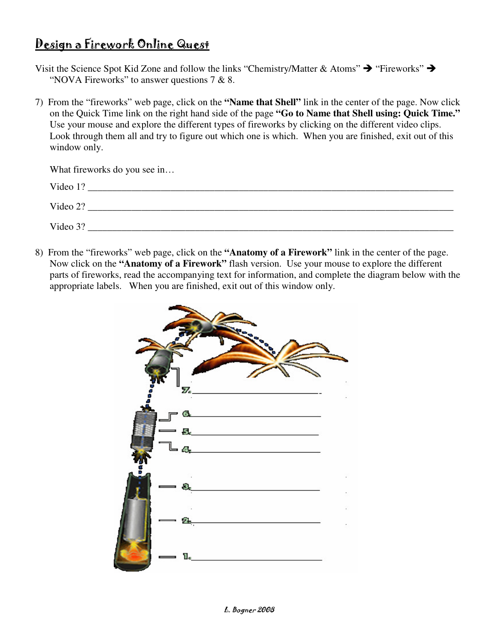## Design a Firework Online Quest

Visit the Science Spot Kid Zone and follow the links "Chemistry/Matter & Atoms"  $\rightarrow$  "Fireworks"  $\rightarrow$ "NOVA Fireworks" to answer questions  $7 & 8$ .

7) From the "fireworks" web page, click on the **"Name that Shell"** link in the center of the page. Now click on the Quick Time link on the right hand side of the page **"Go to Name that Shell using: Quick Time."** Use your mouse and explore the different types of fireworks by clicking on the different video clips. Look through them all and try to figure out which one is which. When you are finished, exit out of this window only.

| What fireworks do you see in |
|------------------------------|
| Video 1?                     |
| Video 2?                     |
| Video 3?                     |

8) From the "fireworks" web page, click on the **"Anatomy of a Firework"** link in the center of the page. Now click on the **"Anatomy of a Firework"** flash version. Use your mouse to explore the different parts of fireworks, read the accompanying text for information, and complete the diagram below with the appropriate labels. When you are finished, exit out of this window only.

| 7.                        |  |
|---------------------------|--|
| $\sigma$<br>$-8$<br>$T_a$ |  |
| з<br>$\sim$               |  |
|                           |  |
| 1.                        |  |